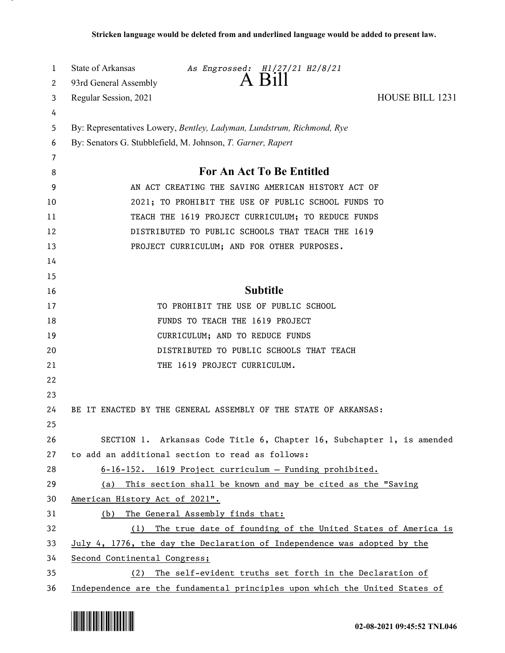| 1  | State of Arkansas                                                           | As Engrossed: H1/27/21 H2/8/21              | A Bill          |  |                                                              |  |
|----|-----------------------------------------------------------------------------|---------------------------------------------|-----------------|--|--------------------------------------------------------------|--|
| 2  | 93rd General Assembly                                                       |                                             |                 |  |                                                              |  |
| 3  | Regular Session, 2021                                                       |                                             |                 |  | HOUSE BILL 1231                                              |  |
| 4  |                                                                             |                                             |                 |  |                                                              |  |
| 5  | By: Representatives Lowery, Bentley, Ladyman, Lundstrum, Richmond, Rye      |                                             |                 |  |                                                              |  |
| 6  | By: Senators G. Stubblefield, M. Johnson, T. Garner, Rapert                 |                                             |                 |  |                                                              |  |
| 7  |                                                                             |                                             |                 |  |                                                              |  |
| 8  | <b>For An Act To Be Entitled</b>                                            |                                             |                 |  |                                                              |  |
| 9  | AN ACT CREATING THE SAVING AMERICAN HISTORY ACT OF                          |                                             |                 |  |                                                              |  |
| 10 | 2021; TO PROHIBIT THE USE OF PUBLIC SCHOOL FUNDS TO                         |                                             |                 |  |                                                              |  |
| 11 | TEACH THE 1619 PROJECT CURRICULUM; TO REDUCE FUNDS                          |                                             |                 |  |                                                              |  |
| 12 | DISTRIBUTED TO PUBLIC SCHOOLS THAT TEACH THE 1619                           |                                             |                 |  |                                                              |  |
| 13 |                                                                             | PROJECT CURRICULUM; AND FOR OTHER PURPOSES. |                 |  |                                                              |  |
| 14 |                                                                             |                                             |                 |  |                                                              |  |
| 15 |                                                                             |                                             |                 |  |                                                              |  |
| 16 |                                                                             |                                             | <b>Subtitle</b> |  |                                                              |  |
| 17 |                                                                             | TO PROHIBIT THE USE OF PUBLIC SCHOOL        |                 |  |                                                              |  |
| 18 |                                                                             | FUNDS TO TEACH THE 1619 PROJECT             |                 |  |                                                              |  |
| 19 |                                                                             | CURRICULUM; AND TO REDUCE FUNDS             |                 |  |                                                              |  |
| 20 |                                                                             | DISTRIBUTED TO PUBLIC SCHOOLS THAT TEACH    |                 |  |                                                              |  |
| 21 |                                                                             | THE 1619 PROJECT CURRICULUM.                |                 |  |                                                              |  |
| 22 |                                                                             |                                             |                 |  |                                                              |  |
| 23 |                                                                             |                                             |                 |  |                                                              |  |
| 24 | BE IT ENACTED BY THE GENERAL ASSEMBLY OF THE STATE OF ARKANSAS:             |                                             |                 |  |                                                              |  |
| 25 |                                                                             |                                             |                 |  |                                                              |  |
| 26 | SECTION 1. Arkansas Code Title 6, Chapter 16, Subchapter 1, is amended      |                                             |                 |  |                                                              |  |
| 27 | to add an additional section to read as follows:                            |                                             |                 |  |                                                              |  |
| 28 | 6-16-152. 1619 Project curriculum - Funding prohibited.                     |                                             |                 |  |                                                              |  |
| 29 | (a) This section shall be known and may be cited as the "Saving             |                                             |                 |  |                                                              |  |
| 30 | American History Act of 2021".                                              |                                             |                 |  |                                                              |  |
| 31 | (b)                                                                         | The General Assembly finds that:            |                 |  |                                                              |  |
| 32 | (1)                                                                         |                                             |                 |  | The true date of founding of the United States of America is |  |
| 33 | July 4, 1776, the day the Declaration of Independence was adopted by the    |                                             |                 |  |                                                              |  |
| 34 | Second Continental Congress;                                                |                                             |                 |  |                                                              |  |
| 35 | (2) The self-evident truths set forth in the Declaration of                 |                                             |                 |  |                                                              |  |
| 36 | Independence are the fundamental principles upon which the United States of |                                             |                 |  |                                                              |  |

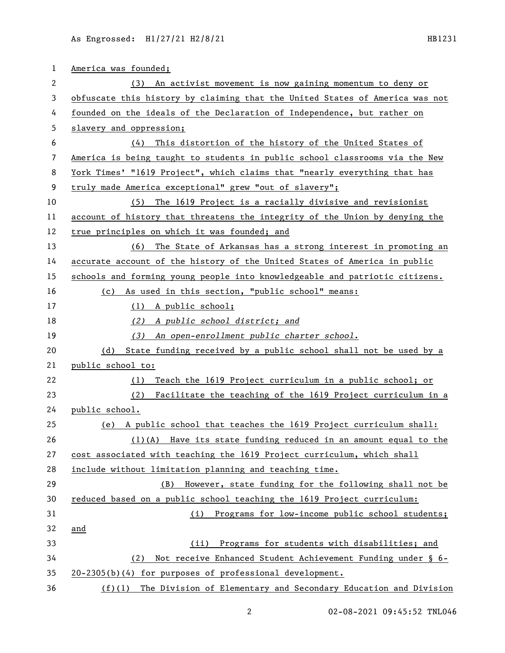| 1  | America was founded;                                                         |  |  |  |
|----|------------------------------------------------------------------------------|--|--|--|
| 2  | An activist movement is now gaining momentum to deny or<br>(3)               |  |  |  |
| 3  | obfuscate this history by claiming that the United States of America was not |  |  |  |
| 4  | founded on the ideals of the Declaration of Independence, but rather on      |  |  |  |
| 5  | slavery and oppression;                                                      |  |  |  |
| 6  | This distortion of the history of the United States of<br>(4)                |  |  |  |
| 7  | America is being taught to students in public school classrooms via the New  |  |  |  |
| 8  | York Times' "1619 Project", which claims that "nearly everything that has    |  |  |  |
| 9  | truly made America exceptional" grew "out of slavery";                       |  |  |  |
| 10 | (5)<br>The 1619 Project is a racially divisive and revisionist               |  |  |  |
| 11 | account of history that threatens the integrity of the Union by denying the  |  |  |  |
| 12 | true principles on which it was founded; and                                 |  |  |  |
| 13 | The State of Arkansas has a strong interest in promoting an<br>(6)           |  |  |  |
| 14 | accurate account of the history of the United States of America in public    |  |  |  |
| 15 | schools and forming young people into knowledgeable and patriotic citizens.  |  |  |  |
| 16 | (c) As used in this section, "public school" means:                          |  |  |  |
| 17 | (1) A public school;                                                         |  |  |  |
| 18 | (2) A public school district; and                                            |  |  |  |
| 19 | An open-enrollment public charter school.<br>(3)                             |  |  |  |
| 20 | State funding received by a public school shall not be used by a<br>(d)      |  |  |  |
| 21 | public school to:                                                            |  |  |  |
| 22 | Teach the 1619 Project curriculum in a public school; or<br>(1)              |  |  |  |
| 23 | Facilitate the teaching of the 1619 Project curriculum in a<br>(2)           |  |  |  |
| 24 | public school.                                                               |  |  |  |
| 25 | (e) A public school that teaches the 1619 Project curriculum shall:          |  |  |  |
| 26 | $(1)(A)$ Have its state funding reduced in an amount equal to the            |  |  |  |
| 27 | cost associated with teaching the 1619 Project curriculum, which shall       |  |  |  |
| 28 | include without limitation planning and teaching time.                       |  |  |  |
| 29 | However, state funding for the following shall not be<br>(B)                 |  |  |  |
| 30 | reduced based on a public school teaching the 1619 Project curriculum:       |  |  |  |
| 31 | Programs for low-income public school students;<br>(i)                       |  |  |  |
| 32 | and                                                                          |  |  |  |
| 33 | Programs for students with disabilities; and<br>(ii)                         |  |  |  |
| 34 | Not receive Enhanced Student Achievement Funding under § 6-<br>(2)           |  |  |  |
| 35 | 20-2305(b)(4) for purposes of professional development.                      |  |  |  |
| 36 | $(f)(1)$ The Division of Elementary and Secondary Education and Division     |  |  |  |

02-08-2021 09:45:52 TNL046